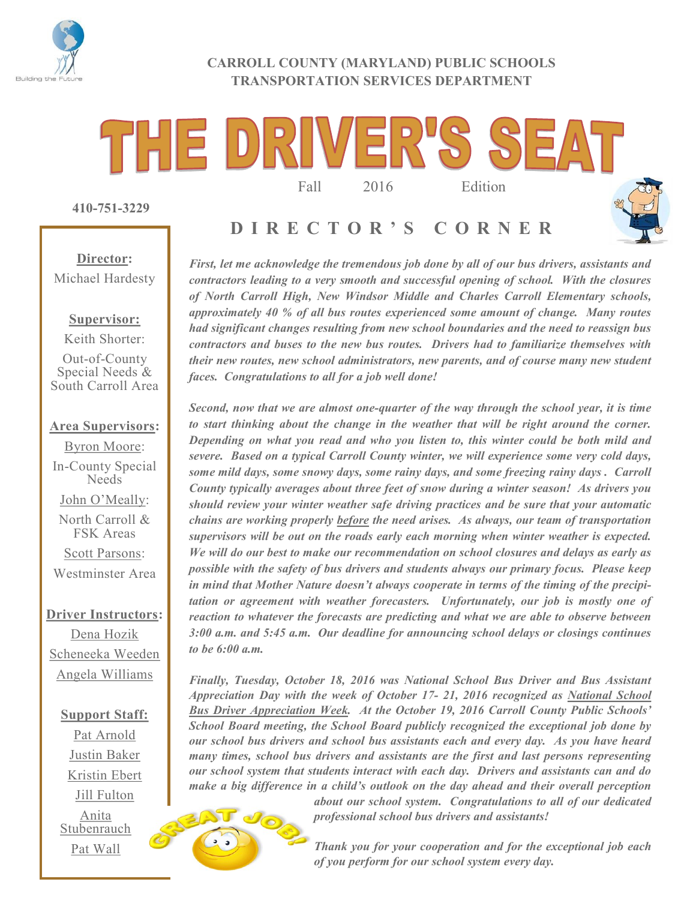

#### **CARROLL COUNTY (MARYLAND) PUBLIC SCHOOLS TRANSPORTATION SERVICES DEPARTMENT**

**D I R E C T O R ' S C O R N E R**

# THE DRIVER'S SEAT Fall 2016 Edition

**410-751-3229**

### **Director:** Michael Hardesty

#### **Supervisor:**

Keith Shorter:

Out-of-County Special Needs & South Carroll Area

#### **Area Supervisors:**

Byron Moore: In-County Special Needs

John O'Meally: North Carroll & FSK Areas

Scott Parsons:

Westminster Area

#### **Driver Instructors:**

Dena Hozik Scheneeka Weeden Angela Williams

**Support Staff:** Pat Arnold Justin Baker Kristin Ebert Jill Fulton Anita **Stubenrauch** Pat Wall

*First, let me acknowledge the tremendous job done by all of our bus drivers, assistants and contractors leading to a very smooth and successful opening of school. With the closures of North Carroll High, New Windsor Middle and Charles Carroll Elementary schools, approximately 40 % of all bus routes experienced some amount of change. Many routes had significant changes resulting from new school boundaries and the need to reassign bus contractors and buses to the new bus routes. Drivers had to familiarize themselves with their new routes, new school administrators, new parents, and of course many new student faces. Congratulations to all for a job well done!*

*Second, now that we are almost one-quarter of the way through the school year, it is time to start thinking about the change in the weather that will be right around the corner. Depending on what you read and who you listen to, this winter could be both mild and severe. Based on a typical Carroll County winter, we will experience some very cold days, some mild days, some snowy days, some rainy days, and some freezing rainy days . Carroll County typically averages about three feet of snow during a winter season! As drivers you should review your winter weather safe driving practices and be sure that your automatic chains are working properly before the need arises. As always, our team of transportation supervisors will be out on the roads early each morning when winter weather is expected. We will do our best to make our recommendation on school closures and delays as early as possible with the safety of bus drivers and students always our primary focus. Please keep in mind that Mother Nature doesn't always cooperate in terms of the timing of the precipitation or agreement with weather forecasters. Unfortunately, our job is mostly one of reaction to whatever the forecasts are predicting and what we are able to observe between 3:00 a.m. and 5:45 a.m. Our deadline for announcing school delays or closings continues to be 6:00 a.m.* 

*Finally, Tuesday, October 18, 2016 was National School Bus Driver and Bus Assistant Appreciation Day with the week of October 17- 21, 2016 recognized as National School Bus Driver Appreciation Week. At the October 19, 2016 Carroll County Public Schools' School Board meeting, the School Board publicly recognized the exceptional job done by our school bus drivers and school bus assistants each and every day. As you have heard many times, school bus drivers and assistants are the first and last persons representing our school system that students interact with each day. Drivers and assistants can and do make a big difference in a child's outlook on the day ahead and their overall perception* 



*about our school system. Congratulations to all of our dedicated professional school bus drivers and assistants!* 

*Thank you for your cooperation and for the exceptional job each of you perform for our school system every day.*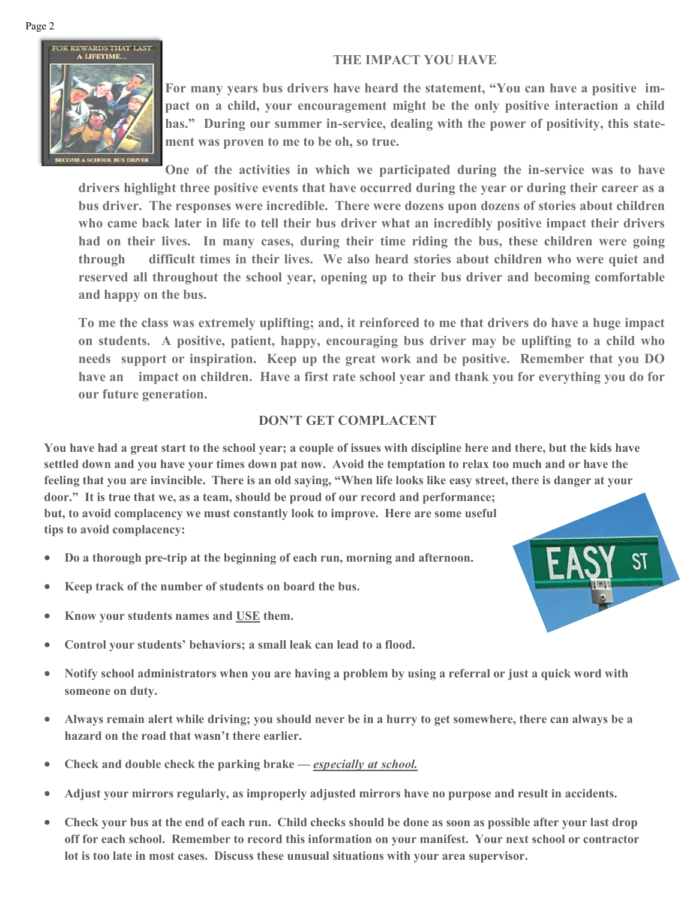#### **THE IMPACT YOU HAVE**



**For many years bus drivers have heard the statement, "You can have a positive impact on a child, your encouragement might be the only positive interaction a child**  has." During our summer in-service, dealing with the power of positivity, this state**ment was proven to me to be oh, so true.** 

**One of the activities in which we participated during the in-service was to have drivers highlight three positive events that have occurred during the year or during their career as a bus driver. The responses were incredible. There were dozens upon dozens of stories about children who came back later in life to tell their bus driver what an incredibly positive impact their drivers had on their lives. In many cases, during their time riding the bus, these children were going through difficult times in their lives. We also heard stories about children who were quiet and reserved all throughout the school year, opening up to their bus driver and becoming comfortable and happy on the bus.**

**To me the class was extremely uplifting; and, it reinforced to me that drivers do have a huge impact on students. A positive, patient, happy, encouraging bus driver may be uplifting to a child who needs support or inspiration. Keep up the great work and be positive. Remember that you DO have an impact on children. Have a first rate school year and thank you for everything you do for our future generation.**

#### **DON'T GET COMPLACENT**

**You have had a great start to the school year; a couple of issues with discipline here and there, but the kids have settled down and you have your times down pat now. Avoid the temptation to relax too much and or have the feeling that you are invincible. There is an old saying, "When life looks like easy street, there is danger at your door." It is true that we, as a team, should be proud of our record and performance; but, to avoid complacency we must constantly look to improve. Here are some useful tips to avoid complacency:**

- **Do a thorough pre-trip at the beginning of each run, morning and afternoon.**
- **Keep track of the number of students on board the bus.**
- **Know your students names and USE them.**
- **Control your students' behaviors; a small leak can lead to a flood.**
- **Notify school administrators when you are having a problem by using a referral or just a quick word with someone on duty.**
- **Always remain alert while driving; you should never be in a hurry to get somewhere, there can always be a hazard on the road that wasn't there earlier.**
- **Check and double check the parking brake —** *especially at school.*
- **Adjust your mirrors regularly, as improperly adjusted mirrors have no purpose and result in accidents.**
- **Check your bus at the end of each run. Child checks should be done as soon as possible after your last drop off for each school. Remember to record this information on your manifest. Your next school or contractor lot is too late in most cases. Discuss these unusual situations with your area supervisor.**

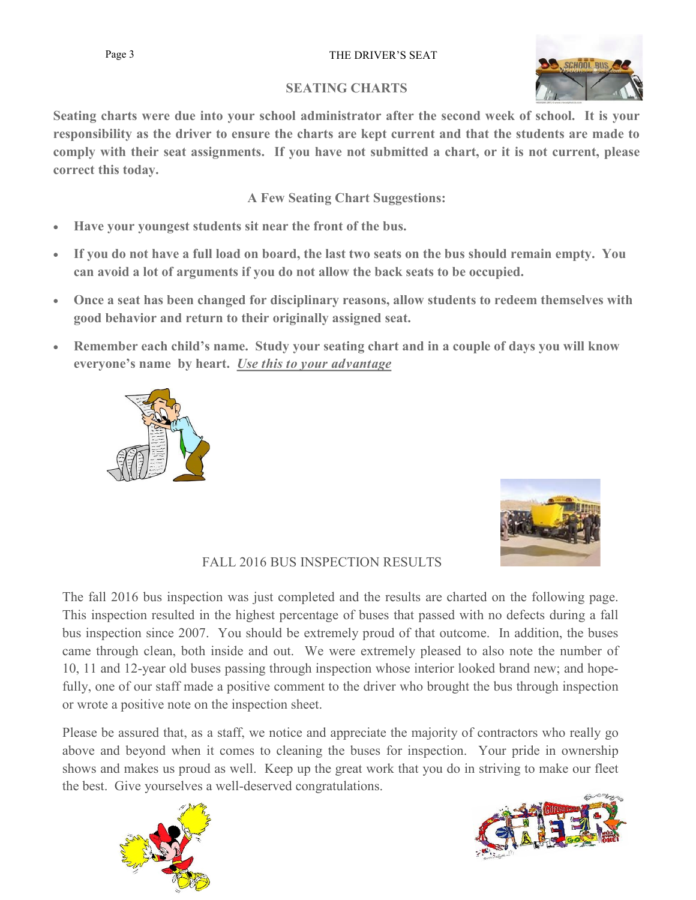#### Page 3 THE DRIVER'S SEAT

#### **SEATING CHARTS**

**Seating charts were due into your school administrator after the second week of school. It is your responsibility as the driver to ensure the charts are kept current and that the students are made to comply with their seat assignments. If you have not submitted a chart, or it is not current, please correct this today.**

**A Few Seating Chart Suggestions:**

- **Have your youngest students sit near the front of the bus.**
- **If you do not have a full load on board, the last two seats on the bus should remain empty. You can avoid a lot of arguments if you do not allow the back seats to be occupied.**
- **Once a seat has been changed for disciplinary reasons, allow students to redeem themselves with good behavior and return to their originally assigned seat.**
- **Remember each child's name. Study your seating chart and in a couple of days you will know everyone's name by heart.** *Use this to your advantage*



The fall 2016 bus inspection was just completed and the results are charted on the following page. This inspection resulted in the highest percentage of buses that passed with no defects during a fall bus inspection since 2007. You should be extremely proud of that outcome. In addition, the buses came through clean, both inside and out. We were extremely pleased to also note the number of 10, 11 and 12-year old buses passing through inspection whose interior looked brand new; and hopefully, one of our staff made a positive comment to the driver who brought the bus through inspection or wrote a positive note on the inspection sheet.

Please be assured that, as a staff, we notice and appreciate the majority of contractors who really go above and beyond when it comes to cleaning the buses for inspection. Your pride in ownership shows and makes us proud as well. Keep up the great work that you do in striving to make our fleet the best. Give yourselves a well-deserved congratulations.







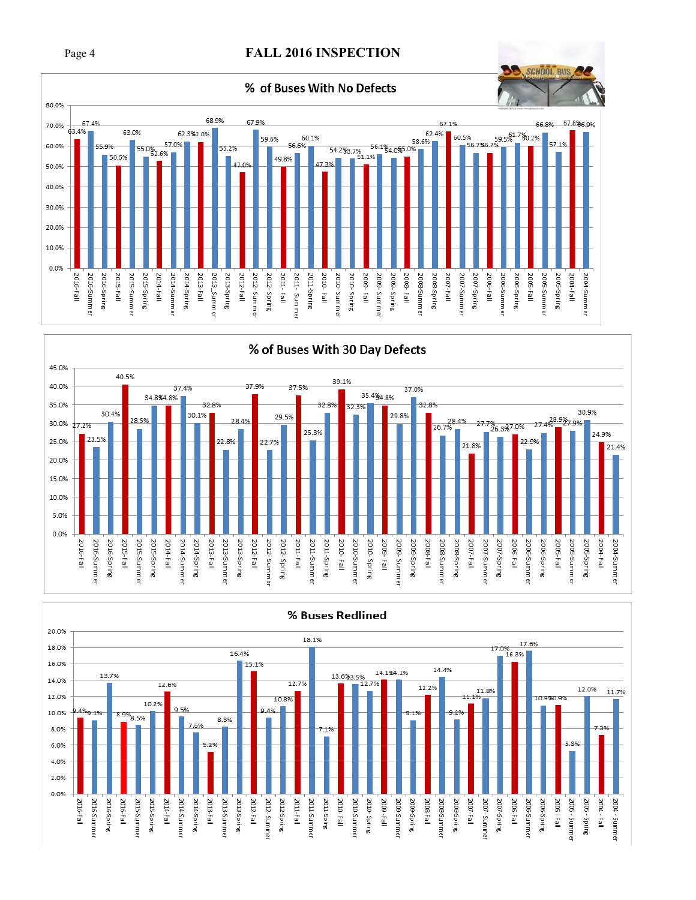#### Page 4 **FALL 2016 INSPECTION**





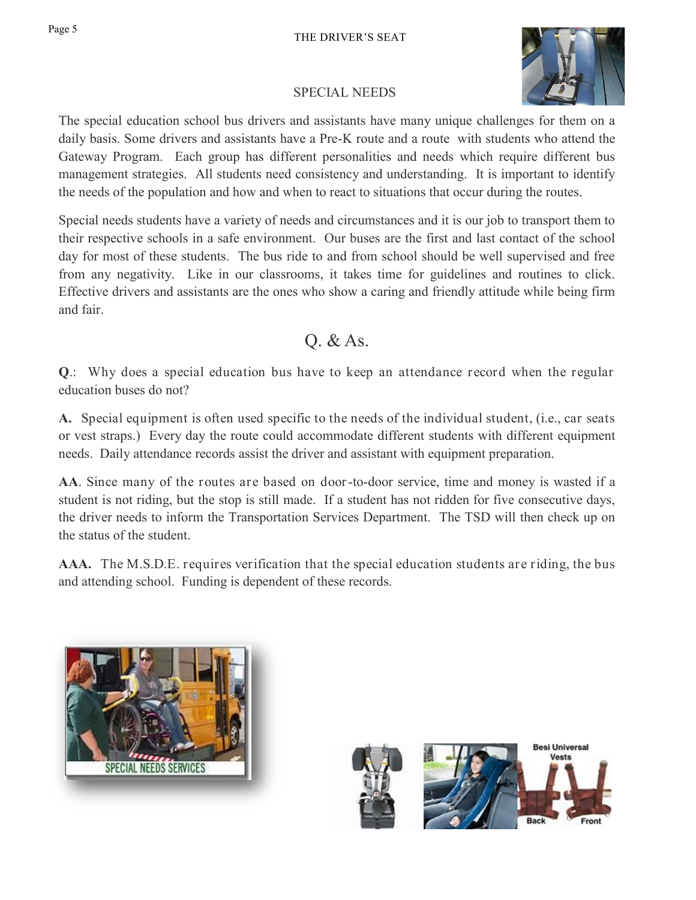

#### SPECIAL NEEDS

The special education school bus drivers and assistants have many unique challenges for them on a daily basis. Some drivers and assistants have a Pre-K route and a route with students who attend the Gateway Program. Each group has different personalities and needs which require different bus management strategies. All students need consistency and understanding. It is important to identify the needs of the population and how and when to react to situations that occur during the routes.

Special needs students have a variety of needs and circumstances and it is our job to transport them to their respective schools in a safe environment. Our buses are the first and last contact of the school day for most of these students. The bus ride to and from school should be well supervised and free from any negativity. Like in our classrooms, it takes time for guidelines and routines to click. Effective drivers and assistants are the ones who show a caring and friendly attitude while being firm and fair.

## Q. & As.

**Q**.: Why does a special education bus have to keep an attendance record when the regular education buses do not?

**A.** Special equipment is often used specific to the needs of the individual student, (i.e., car seats or vest straps.) Every day the route could accommodate different students with different equipment needs. Daily attendance records assist the driver and assistant with equipment preparation.

**AA**. Since many of the routes are based on door-to-door service, time and money is wasted if a student is not riding, but the stop is still made. If a student has not ridden for five consecutive days, the driver needs to inform the Transportation Services Department. The TSD will then check up on the status of the student.

**AAA.** The M.S.D.E. requires verification that the special education students are riding, the bus and attending school. Funding is dependent of these records.



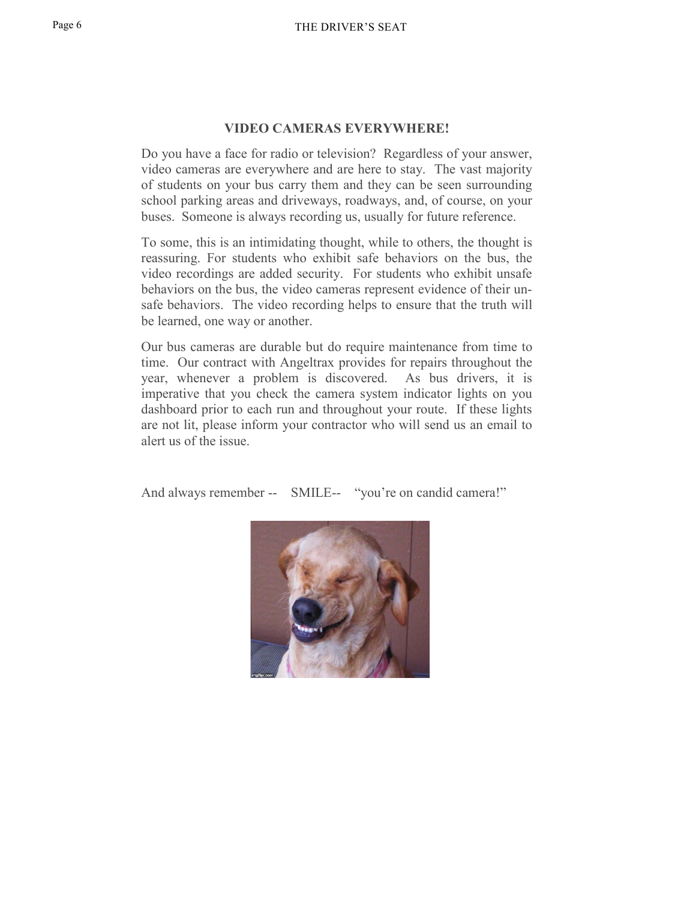#### **VIDEO CAMERAS EVERYWHERE!**

Do you have a face for radio or television? Regardless of your answer, video cameras are everywhere and are here to stay. The vast majority of students on your bus carry them and they can be seen surrounding school parking areas and driveways, roadways, and, of course, on your buses. Someone is always recording us, usually for future reference.

To some, this is an intimidating thought, while to others, the thought is reassuring. For students who exhibit safe behaviors on the bus, the video recordings are added security. For students who exhibit unsafe behaviors on the bus, the video cameras represent evidence of their unsafe behaviors. The video recording helps to ensure that the truth will be learned, one way or another.

Our bus cameras are durable but do require maintenance from time to time. Our contract with Angeltrax provides for repairs throughout the year, whenever a problem is discovered. As bus drivers, it is imperative that you check the camera system indicator lights on you dashboard prior to each run and throughout your route. If these lights are not lit, please inform your contractor who will send us an email to alert us of the issue.

And always remember -- SMILE-- "you're on candid camera!"